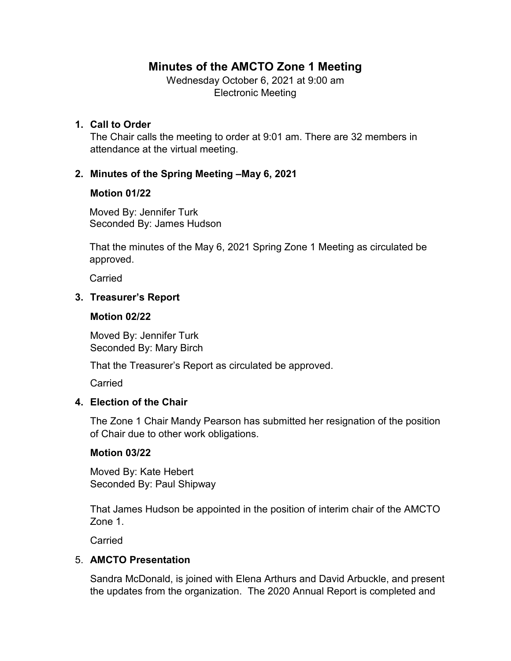# **Minutes of the AMCTO Zone 1 Meeting**

Wednesday October 6, 2021 at 9:00 am Electronic Meeting

### **1. Call to Order**

The Chair calls the meeting to order at 9:01 am. There are 32 members in attendance at the virtual meeting.

# **2. Minutes of the Spring Meeting –May 6, 2021**

### **Motion 01/22**

Moved By: Jennifer Turk Seconded By: James Hudson

That the minutes of the May 6, 2021 Spring Zone 1 Meeting as circulated be approved.

Carried

# **3. Treasurer's Report**

### **Motion 02/22**

Moved By: Jennifer Turk Seconded By: Mary Birch

That the Treasurer's Report as circulated be approved.

**Carried** 

# **4. Election of the Chair**

The Zone 1 Chair Mandy Pearson has submitted her resignation of the position of Chair due to other work obligations.

### **Motion 03/22**

Moved By: Kate Hebert Seconded By: Paul Shipway

That James Hudson be appointed in the position of interim chair of the AMCTO Zone 1.

Carried

### 5. **AMCTO Presentation**

Sandra McDonald, is joined with Elena Arthurs and David Arbuckle, and present the updates from the organization. The 2020 Annual Report is completed and